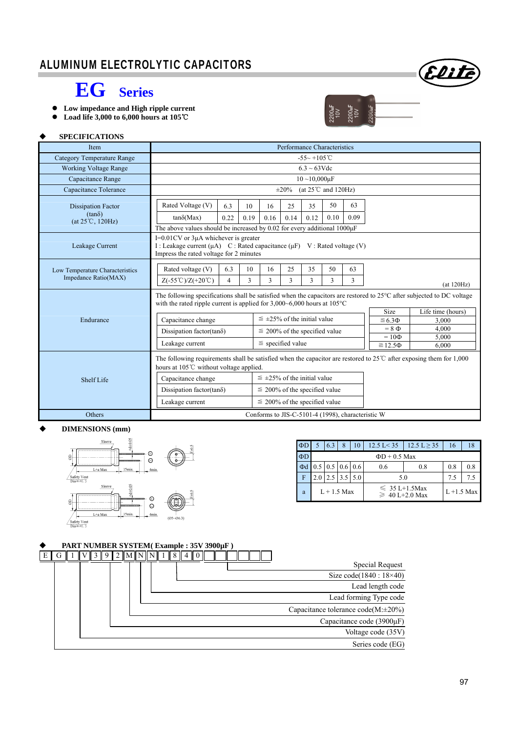### ALUMINUM ELECTROLYTIC CAPACITORS



 $200 \text{h}$ F

## **EG Series**

- **Low impedance and High ripple current**
- **Load life 3,000 to 6,000 hours at 105**℃

### **SPECIFICATIONS**

| Item                                                           | Performance Characteristics                                                                                                                                                                                                                                                                                                                                                                          |                                                                                                                                                                                                                                                         |                                                                                                                                                                                                                                                                                                       |                       |            |            |            |                                                   |                                     |       |
|----------------------------------------------------------------|------------------------------------------------------------------------------------------------------------------------------------------------------------------------------------------------------------------------------------------------------------------------------------------------------------------------------------------------------------------------------------------------------|---------------------------------------------------------------------------------------------------------------------------------------------------------------------------------------------------------------------------------------------------------|-------------------------------------------------------------------------------------------------------------------------------------------------------------------------------------------------------------------------------------------------------------------------------------------------------|-----------------------|------------|------------|------------|---------------------------------------------------|-------------------------------------|-------|
| <b>Category Temperature Range</b>                              | $-55 - +105$ °C                                                                                                                                                                                                                                                                                                                                                                                      |                                                                                                                                                                                                                                                         |                                                                                                                                                                                                                                                                                                       |                       |            |            |            |                                                   |                                     |       |
| <b>Working Voltage Range</b>                                   | $6.3 \sim 63 \text{V}$ de                                                                                                                                                                                                                                                                                                                                                                            |                                                                                                                                                                                                                                                         |                                                                                                                                                                                                                                                                                                       |                       |            |            |            |                                                   |                                     |       |
| Capacitance Range                                              |                                                                                                                                                                                                                                                                                                                                                                                                      | $10 - 10,000 \mu F$                                                                                                                                                                                                                                     |                                                                                                                                                                                                                                                                                                       |                       |            |            |            |                                                   |                                     |       |
| Capacitance Tolerance                                          |                                                                                                                                                                                                                                                                                                                                                                                                      | (at $25^{\circ}$ C and $120\text{Hz}$ )<br>$\pm 20\%$                                                                                                                                                                                                   |                                                                                                                                                                                                                                                                                                       |                       |            |            |            |                                                   |                                     |       |
| <b>Dissipation Factor</b><br>$(tan\delta)$<br>(at 25°C, 120Hz) | Rated Voltage (V)<br>$tan\delta(Max)$                                                                                                                                                                                                                                                                                                                                                                | 6.3<br>0.22                                                                                                                                                                                                                                             | 10<br>0.19                                                                                                                                                                                                                                                                                            | 16<br>0.16            | 25<br>0.14 | 35<br>0.12 | 50<br>0.10 | 63<br>0.09                                        |                                     |       |
| Leakage Current                                                |                                                                                                                                                                                                                                                                                                                                                                                                      | The above values should be increased by $0.02$ for every additional $1000\mu$ F<br>$I=0.01$ CV or $3\mu A$ whichever is greater<br>I : Leakage current (μA) C : Rated capacitance (μF) V : Rated voltage (V)<br>Impress the rated voltage for 2 minutes |                                                                                                                                                                                                                                                                                                       |                       |            |            |            |                                                   |                                     |       |
| Low Temperature Characteristics<br>Impedance Ratio(MAX)        | Rated voltage (V)<br>25<br>35<br>6.3<br>10<br>16<br>50<br>63<br>$Z(-55^{\circ}\text{C})/Z(+20^{\circ}\text{C})$<br>3<br>3<br>$\overline{4}$<br>3<br>3<br>3<br>3                                                                                                                                                                                                                                      |                                                                                                                                                                                                                                                         |                                                                                                                                                                                                                                                                                                       |                       |            | (at 120Hz) |            |                                                   |                                     |       |
| Endurance                                                      | Capacitance change<br>Dissipation factor(tan $\delta$ )                                                                                                                                                                                                                                                                                                                                              |                                                                                                                                                                                                                                                         | The following specifications shall be satisfied when the capacitors are restored to $25^{\circ}$ C after subjected to DC voltage<br>with the rated ripple current is applied for $3,000-6,000$ hours at $105^{\circ}$ C<br>$\leq \pm 25\%$ of the initial value<br>$\leq$ 200% of the specified value |                       |            |            |            | Size<br>$\leq 6.3 \Phi$<br>$= 8 \Phi$             | Life time (hours)<br>3,000<br>4.000 |       |
|                                                                | Leakage current                                                                                                                                                                                                                                                                                                                                                                                      |                                                                                                                                                                                                                                                         |                                                                                                                                                                                                                                                                                                       | $\le$ specified value |            |            |            |                                                   | $=10\Phi$                           | 5,000 |
| <b>Shelf Life</b>                                              | $\geq 12.5\Phi$<br>6,000<br>The following requirements shall be satisfied when the capacitor are restored to $25^{\circ}$ after exposing them for 1,000<br>hours at 105°C without voltage applied.<br>$\leq \pm 25\%$ of the initial value<br>Capacitance change<br>$\leq$ 200% of the specified value<br>Dissipation factor(tan $\delta$ )<br>Leakage current<br>$\leq$ 200% of the specified value |                                                                                                                                                                                                                                                         |                                                                                                                                                                                                                                                                                                       |                       |            |            |            |                                                   |                                     |       |
| Others                                                         |                                                                                                                                                                                                                                                                                                                                                                                                      |                                                                                                                                                                                                                                                         |                                                                                                                                                                                                                                                                                                       |                       |            |            |            | Conforms to JIS-C-5101-4 (1998), characteristic W |                                     |       |

#### **DIMENSIONS (mm)**



| $\Phi$ D |                    | 6.3                              | 8    | 10  | $12.5 \text{ L} < 35$                      | $12.5 \text{ L} \geq 35$ | 16  | 18 |  |  |
|----------|--------------------|----------------------------------|------|-----|--------------------------------------------|--------------------------|-----|----|--|--|
| $\Phi$ D | $\Phi$ D + 0.5 Max |                                  |      |     |                                            |                          |     |    |  |  |
| $\Phi$ d |                    | $0.5 \mid 0.5 \mid 0.6 \mid 0.6$ |      |     | 0.6                                        | 0.8                      | 0.8 |    |  |  |
| F        |                    | 2.5                              | 13.5 | 5.0 | 5.0                                        | 7.5                      | 7.5 |    |  |  |
| a        | $L+1.5$ Max        |                                  |      |     | $\leq 35 L+1.5$ Max<br>$\geq 40$ L+2.0 Max | $L + 1.5$ Max            |     |    |  |  |

### **PART NUMBER SYSTEM( Example : 35V 3900µF )**

|                                          |  | $\ 1\ V\ 3\ 9\ 2\ M\ N\ N\ 1\ 8\ 4\ 0\ $ |  |  |  |  | $E \mid G$ |
|------------------------------------------|--|------------------------------------------|--|--|--|--|------------|
| <b>Special Request</b>                   |  |                                          |  |  |  |  |            |
| Size code(1840: 18×40)                   |  |                                          |  |  |  |  |            |
| Lead length code                         |  |                                          |  |  |  |  |            |
| Lead forming Type code                   |  |                                          |  |  |  |  |            |
| Capacitance tolerance $code(M:\pm 20\%)$ |  |                                          |  |  |  |  |            |
| Capacitance code (3900µF)                |  |                                          |  |  |  |  |            |
| Voltage code (35V)                       |  |                                          |  |  |  |  |            |
| Series code (EG)                         |  |                                          |  |  |  |  |            |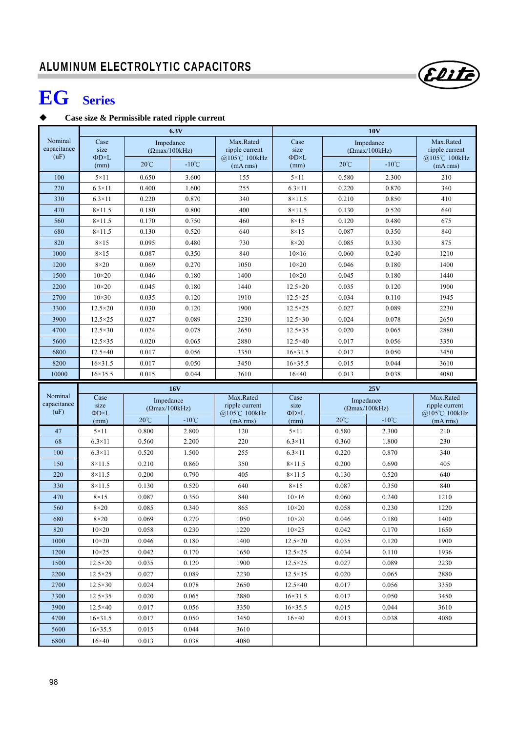# **EG Series**

### **Case size & Permissible rated ripple current**

|                                |                                     |                                    | 6.3V            |                                              | <b>10V</b>                          |                                    |                                     |                                              |  |  |
|--------------------------------|-------------------------------------|------------------------------------|-----------------|----------------------------------------------|-------------------------------------|------------------------------------|-------------------------------------|----------------------------------------------|--|--|
| Nominal<br>capacitance<br>(uF) | Case<br>size<br>$\Phi$ D $\times$ L | Impedance<br>$(\Omega$ max/100kHz) |                 | Max.Rated<br>ripple current<br>@105°C 100kHz | Case<br>size<br>$\Phi$ D $\times$ L |                                    | Impedance<br>$( \Omega$ max/100kHz) | Max.Rated<br>ripple current<br>@105℃ 100kHz  |  |  |
|                                | (mm)                                | $20^{\circ}$ C                     | $-10^{\circ}$ C | (mA rms)                                     | (mm)                                | $20^{\circ}$ C                     | $-10^{\circ}$ C                     | (mA rms)                                     |  |  |
| 100                            | $5 \times 11$                       | 0.650                              | 3.600           | 155                                          | $5 \times 11$                       | 0.580                              | 2.300                               | 210                                          |  |  |
| 220                            | $6.3\times11$                       | 0.400                              | 1.600           | 255                                          | $6.3\times11$                       | 0.220                              | 0.870                               | 340                                          |  |  |
| 330                            | $6.3\times11$                       | 0.220                              | 0.870           | 340                                          | $8 \times 11.5$                     | 0.210                              | 0.850                               | 410                                          |  |  |
| 470                            | $8 \times 11.5$                     | 0.180                              | 0.800           | 400                                          | $8\times11.5$                       | 0.130                              | 0.520                               | 640                                          |  |  |
| 560                            | $8 \times 11.5$                     | 0.170                              | 0.750           | 460                                          | $8\times15$                         | 0.120                              | 0.480                               | 675                                          |  |  |
| 680                            | $8\times11.5$                       | 0.130                              | 0.520           | 640                                          | $8\times15$                         | 0.087                              | 0.350                               | 840                                          |  |  |
| 820                            | $8\times15$                         | 0.095                              | 0.480           | 730                                          | $8\times20$                         | 0.085                              | 0.330                               | 875                                          |  |  |
| 1000                           | $8\times15$                         | 0.087                              | 0.350           | 840                                          | $10\times16$                        | 0.060                              | 0.240                               | 1210                                         |  |  |
| 1200                           | $8\times20$                         | 0.069                              | 0.270           | 1050                                         | $10\times20$                        | 0.046                              | 0.180                               | 1400                                         |  |  |
| 1500                           | $10\times20$                        | 0.046                              | 0.180           | 1400                                         | $10\times20$                        | 0.045                              | 0.180                               | 1440                                         |  |  |
| 2200                           | $10\times20$                        | 0.045                              | 0.180           | 1440                                         | $12.5 \times 20$                    | 0.035                              | 0.120                               | 1900                                         |  |  |
| 2700                           | $10\times30$                        | 0.035                              | 0.120           | 1910                                         | $12.5 \times 25$                    | 0.034                              | 0.110                               | 1945                                         |  |  |
| 3300                           | $12.5 \times 20$                    | 0.030                              | 0.120           | 1900                                         | $12.5 \times 25$                    | 0.027                              | 0.089                               | 2230                                         |  |  |
| 3900                           | $12.5 \times 25$                    | 0.027                              | 0.089           | 2230                                         | $12.5 \times 30$                    | 0.024                              | 0.078                               | 2650                                         |  |  |
| 4700                           | $12.5 \times 30$                    | 0.024                              | 0.078           | 2650                                         | $12.5 \times 35$                    | 0.020                              | 0.065                               | 2880                                         |  |  |
| 5600                           | $12.5 \times 35$                    | 0.020                              | 0.065           | 2880                                         | $12.5\times40$                      | 0.017                              | 0.056                               | 3350                                         |  |  |
| 6800                           | $12.5 \times 40$                    | 0.017                              | 0.056           | 3350                                         | $16 \times 31.5$                    | 0.017                              | 0.050                               | 3450                                         |  |  |
| 8200                           | $16 \times 31.5$                    | 0.017                              | 0.050           | 3450                                         | $16 \times 35.5$                    | 0.015                              | 0.044                               | 3610                                         |  |  |
| 10000                          | $16 \times 35.5$                    | 0.015                              | 0.044           | 3610                                         | $16\times40$                        | 0.013                              | 0.038                               | 4080                                         |  |  |
|                                | <b>16V</b>                          |                                    |                 |                                              |                                     |                                    |                                     |                                              |  |  |
|                                |                                     |                                    |                 |                                              |                                     |                                    | 25V                                 |                                              |  |  |
| Nominal<br>capacitance<br>(uF) | Case<br>size<br>$\Phi$ D $\times$ L | Impedance<br>$(\Omega$ max/100kHz) |                 | Max.Rated<br>ripple current<br>@105℃ 100kHz  | Case<br>size<br>$\Phi$ D×L          | Impedance<br>$(\Omega$ max/100kHz) |                                     | Max.Rated<br>ripple current<br>@105°C 100kHz |  |  |
|                                | (mm)                                | $20^{\circ}$ C                     | $-10^{\circ}$ C | (mA rms)                                     | (mm)                                | $20^{\circ}$ C                     | $-10^{\circ}$ C                     | (mA rms)                                     |  |  |
| 47                             | $5 \times 11$                       | 0.800                              | 2.800           | 120                                          | $5 \times 11$                       | 0.580                              | 2.300                               | 210                                          |  |  |
| 68                             | $6.3\times11$                       | 0.560                              | 2.200           | 220                                          | $6.3\times11$                       | 0.360                              | 1.800                               | 230                                          |  |  |
| 100                            | $6.3\times11$                       | 0.520                              | 1.500           | 255                                          | $6.3\times11$                       | 0.220                              | 0.870                               | 340                                          |  |  |
| 150                            | $8\times11.5$                       | 0.210                              | 0.860           | 350                                          | $8\times11.5$                       | 0.200                              | 0.690                               | 405                                          |  |  |
| 220                            | $8 \times 11.5$                     | 0.200                              | 0.790           | 405                                          | $8\times11.5$                       | 0.130                              | 0.520                               | 640                                          |  |  |
| 330                            | $8 \times 11.5$                     | 0.130                              | 0.520           | 640                                          | $8\times15$                         | 0.087                              | 0.350                               | 840                                          |  |  |
| 470                            | $8\times15$                         | 0.087                              | 0.350           | 840                                          | $10\times 16$                       | 0.060                              | 0.240                               | 1210                                         |  |  |
| 560                            | $8\times20$                         | 0.085                              | 0.340           | 865                                          | $10\times20$                        | 0.058                              | 0.230                               | 1220                                         |  |  |
| 680                            | $8\times20$                         | 0.069                              | 0.270           | 1050                                         | $10\times20$                        | 0.046                              | 0.180                               | 1400                                         |  |  |
| 820                            | $10\times 20$                       | 0.058                              | 0.230           | 1220                                         | $10\times25$                        | 0.042                              | 0.170                               | 1650                                         |  |  |
| 1000                           | $10\times 20$                       | 0.046                              | 0.180           | 1400                                         | $12.5 \times 20$                    | 0.035                              | 0.120                               | 1900                                         |  |  |
| 1200                           | $10\times25$                        | 0.042                              | 0.170           | 1650                                         | $12.5 \times 25$                    | 0.034                              | 0.110                               | 1936                                         |  |  |
| 1500                           | $12.5 \times 20$                    | 0.035                              | 0.120           | 1900                                         | $12.5 \times 25$                    | 0.027                              | 0.089                               | 2230                                         |  |  |
| 2200                           | $12.5 \times 25$                    | 0.027                              | 0.089           | 2230                                         | $12.5 \times 35$                    | 0.020                              | 0.065                               | 2880                                         |  |  |
| 2700                           | $12.5 \times 30$                    | 0.024                              | 0.078           | 2650                                         | $12.5\times40$                      | 0.017                              | 0.056                               | 3350                                         |  |  |
| 3300                           | $12.5\times35$                      | 0.020                              | 0.065           | 2880                                         | $16 \times 31.5$                    | 0.017                              | 0.050                               | 3450                                         |  |  |
| 3900                           | $12.5\times40$                      | 0.017                              | 0.056           | 3350                                         | $16 \times 35.5$                    | 0.015                              | 0.044                               | 3610                                         |  |  |
| 4700                           | $16 \times 31.5$                    | 0.017                              | 0.050           | 3450                                         | $16\times40$                        | 0.013                              | 0.038                               | 4080                                         |  |  |
| 5600<br>6800                   | $16 \times 35.5$<br>$16\times40$    | 0.015<br>0.013                     | 0.044<br>0.038  | 3610<br>4080                                 |                                     |                                    |                                     |                                              |  |  |